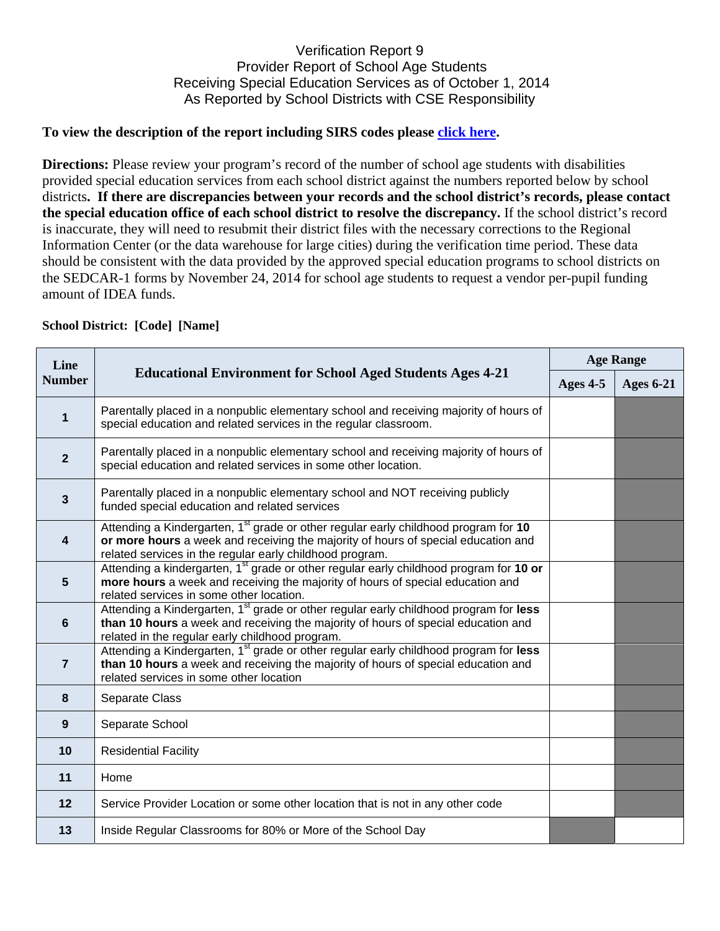## Verification Report 9 Provider Report of School Age Students Receiving Special Education Services as of October 1, 2014 As Reported by School Districts with CSE Responsibility

## **To view the description of the report including SIRS codes please click here.**

**Directions:** Please review your program's record of the number of school age students with disabilities provided special education services from each school district against the numbers reported below by school districts**. If there are discrepancies between your records and the school district's records, please contact the special education office of each school district to resolve the discrepancy.** If the school district's record is inaccurate, they will need to resubmit their district files with the necessary corrections to the Regional Information Center (or the data warehouse for large cities) during the verification time period. These data should be consistent with the data provided by the approved special education programs to school districts on the SEDCAR-1 forms by November 24, 2014 for school age students to request a vendor per-pupil funding amount of IDEA funds.

| <b>School District: [Code] [Name]</b> |                                                                                                                                                                                                                                                  |                  |                  |  |  |
|---------------------------------------|--------------------------------------------------------------------------------------------------------------------------------------------------------------------------------------------------------------------------------------------------|------------------|------------------|--|--|
| Line<br><b>Number</b>                 | <b>Educational Environment for School Aged Students Ages 4-21</b>                                                                                                                                                                                | <b>Age Range</b> |                  |  |  |
|                                       |                                                                                                                                                                                                                                                  | Ages 4-5         | <b>Ages 6-21</b> |  |  |
| $\mathbf{1}$                          | Parentally placed in a nonpublic elementary school and receiving majority of hours of<br>special education and related services in the regular classroom.                                                                                        |                  |                  |  |  |
| $\overline{2}$                        | Parentally placed in a nonpublic elementary school and receiving majority of hours of<br>special education and related services in some other location.                                                                                          |                  |                  |  |  |
| $\mathbf{3}$                          | Parentally placed in a nonpublic elementary school and NOT receiving publicly<br>funded special education and related services                                                                                                                   |                  |                  |  |  |
| 4                                     | Attending a Kindergarten, 1 <sup>st</sup> grade or other regular early childhood program for 10<br>or more hours a week and receiving the majority of hours of special education and<br>related services in the regular early childhood program. |                  |                  |  |  |
| 5                                     | Attending a kindergarten, 1 <sup>st</sup> grade or other regular early childhood program for 10 or<br>more hours a week and receiving the majority of hours of special education and<br>related services in some other location.                 |                  |                  |  |  |
| 6                                     | Attending a Kindergarten, 1 <sup>st</sup> grade or other regular early childhood program for less<br>than 10 hours a week and receiving the majority of hours of special education and<br>related in the regular early childhood program.        |                  |                  |  |  |
| $\overline{7}$                        | Attending a Kindergarten, 1 <sup>st</sup> grade or other regular early childhood program for less<br>than 10 hours a week and receiving the majority of hours of special education and<br>related services in some other location                |                  |                  |  |  |
| 8                                     | Separate Class                                                                                                                                                                                                                                   |                  |                  |  |  |
| $\boldsymbol{9}$                      | Separate School                                                                                                                                                                                                                                  |                  |                  |  |  |
| 10                                    | <b>Residential Facility</b>                                                                                                                                                                                                                      |                  |                  |  |  |
| 11                                    | Home                                                                                                                                                                                                                                             |                  |                  |  |  |
| 12                                    | Service Provider Location or some other location that is not in any other code                                                                                                                                                                   |                  |                  |  |  |
| 13                                    | Inside Regular Classrooms for 80% or More of the School Day                                                                                                                                                                                      |                  |                  |  |  |